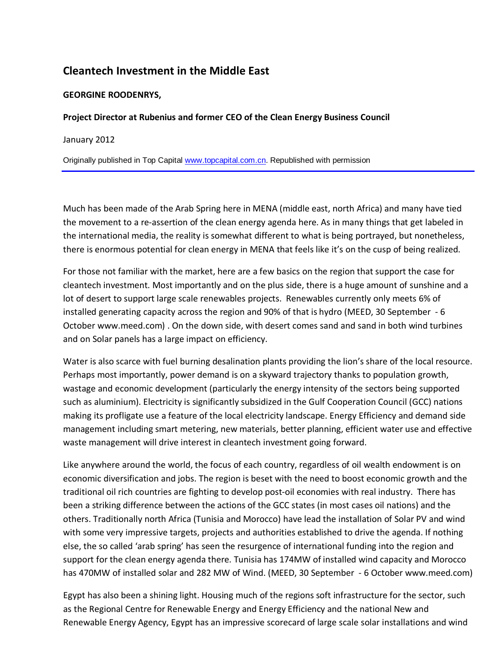# **Cleantech Investment in the Middle East**

## **GEORGINE ROODENRYS,**

#### **Project Director at Rubenius and former CEO of the Clean Energy Business Council**

January 2012

Originally published in Top Ca[pital www.topcapital.com](http://www.topcapital.com.cn/).cn. Republished with permission

Much has been made of the Arab Spring here in MENA (middle east, north Africa) and many have tied the movement to a re-assertion of the clean energy agenda here. As in many things that get labeled in the international media, the reality is somewhat different to what is being portrayed, but nonetheless, there is enormous potential for clean energy in MENA that feels like it's on the cusp of being realized.

For those not familiar with the market, here are a few basics on the region that support the case for cleantech investment. Most importantly and on the plus side, there is a huge amount of sunshine and a lot of desert to support large scale renewables projects. Renewables currently only meets 6% of installed generating capacity across the region and 90% of that is hydro (MEED, 30 September - 6 October www.meed.com) . On the down side, with desert comes sand and sand in both wind turbines and on Solar panels has a large impact on efficiency.

Water is also scarce with fuel burning desalination plants providing the lion's share of the local resource. Perhaps most importantly, power demand is on a skyward trajectory thanks to population growth, wastage and economic development (particularly the energy intensity of the sectors being supported such as aluminium). Electricity is significantly subsidized in the Gulf Cooperation Council (GCC) nations making its profligate use a feature of the local electricity landscape. Energy Efficiency and demand side management including smart metering, new materials, better planning, efficient water use and effective waste management will drive interest in cleantech investment going forward.

Like anywhere around the world, the focus of each country, regardless of oil wealth endowment is on economic diversification and jobs. The region is beset with the need to boost economic growth and the traditional oil rich countries are fighting to develop post-oil economies with real industry. There has been a striking difference between the actions of the GCC states (in most cases oil nations) and the others. Traditionally north Africa (Tunisia and Morocco) have lead the installation of Solar PV and wind with some very impressive targets, projects and authorities established to drive the agenda. If nothing else, the so called 'arab spring' has seen the resurgence of international funding into the region and support for the clean energy agenda there. Tunisia has 174MW of installed wind capacity and Morocco has 470MW of installed solar and 282 MW of Wind. (MEED, 30 September - 6 October www.meed.com)

Egypt has also been a shining light. Housing much of the regions soft infrastructure for the sector, such as the Regional Centre for Renewable Energy and Energy Efficiency and the national New and Renewable Energy Agency, Egypt has an impressive scorecard of large scale solar installations and wind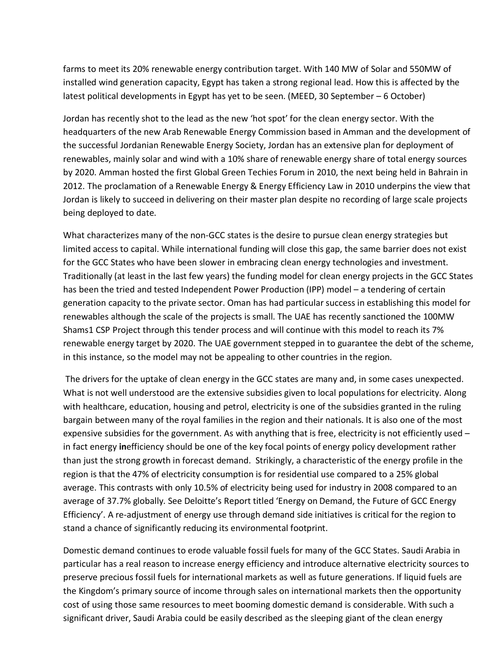farms to meet its 20% renewable energy contribution target. With 140 MW of Solar and 550MW of installed wind generation capacity, Egypt has taken a strong regional lead. How this is affected by the latest political developments in Egypt has yet to be seen. (MEED, 30 September – 6 October)

Jordan has recently shot to the lead as the new 'hot spot' for the clean energy sector. With the headquarters of the new Arab Renewable Energy Commission based in Amman and the development of the successful Jordanian Renewable Energy Society, Jordan has an extensive plan for deployment of renewables, mainly solar and wind with a 10% share of renewable energy share of total energy sources by 2020. Amman hosted the first Global Green Techies Forum in 2010, the next being held in Bahrain in 2012. The proclamation of a Renewable Energy & Energy Efficiency Law in 2010 underpins the view that Jordan is likely to succeed in delivering on their master plan despite no recording of large scale projects being deployed to date.

What characterizes many of the non-GCC states is the desire to pursue clean energy strategies but limited access to capital. While international funding will close this gap, the same barrier does not exist for the GCC States who have been slower in embracing clean energy technologies and investment. Traditionally (at least in the last few years) the funding model for clean energy projects in the GCC States has been the tried and tested Independent Power Production (IPP) model – a tendering of certain generation capacity to the private sector. Oman has had particular success in establishing this model for renewables although the scale of the projects is small. The UAE has recently sanctioned the 100MW Shams1 CSP Project through this tender process and will continue with this model to reach its 7% renewable energy target by 2020. The UAE government stepped in to guarantee the debt of the scheme, in this instance, so the model may not be appealing to other countries in the region.

The drivers for the uptake of clean energy in the GCC states are many and, in some cases unexpected. What is not well understood are the extensive subsidies given to local populations for electricity. Along with healthcare, education, housing and petrol, electricity is one of the subsidies granted in the ruling bargain between many of the royal families in the region and their nationals. It is also one of the most expensive subsidies for the government. As with anything that is free, electricity is not efficiently used – in fact energy **in**efficiency should be one of the key focal points of energy policy development rather than just the strong growth in forecast demand. Strikingly, a characteristic of the energy profile in the region is that the 47% of electricity consumption is for residential use compared to a 25% global average. This contrasts with only 10.5% of electricity being used for industry in 2008 compared to an average of 37.7% globally. See Deloitte's Report titled 'Energy on Demand, the Future of GCC Energy Efficiency'. A re-adjustment of energy use through demand side initiatives is critical for the region to stand a chance of significantly reducing its environmental footprint.

Domestic demand continues to erode valuable fossil fuels for many of the GCC States. Saudi Arabia in particular has a real reason to increase energy efficiency and introduce alternative electricity sources to preserve precious fossil fuels for international markets as well as future generations. If liquid fuels are the Kingdom's primary source of income through sales on international markets then the opportunity cost of using those same resources to meet booming domestic demand is considerable. With such a significant driver, Saudi Arabia could be easily described as the sleeping giant of the clean energy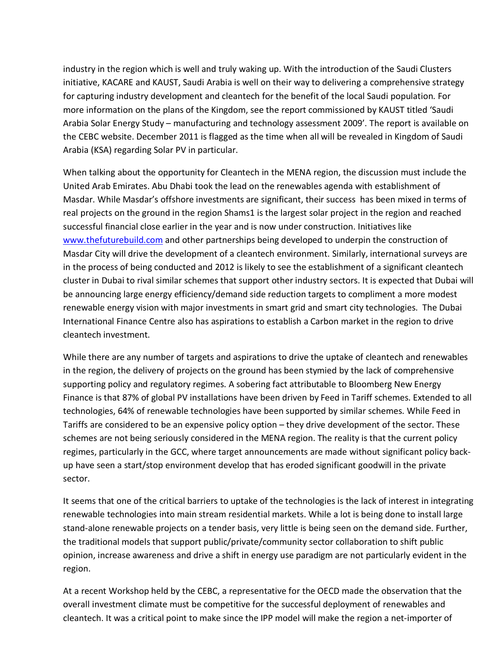industry in the region which is well and truly waking up. With the introduction of the Saudi Clusters initiative, KACARE and KAUST, Saudi Arabia is well on their way to delivering a comprehensive strategy for capturing industry development and cleantech for the benefit of the local Saudi population. For more information on the plans of the Kingdom, see the report commissioned by KAUST titled 'Saudi Arabia Solar Energy Study – manufacturing and technology assessment 2009'. The report is available on the CEBC website. December 2011 is flagged as the time when all will be revealed in Kingdom of Saudi Arabia (KSA) regarding Solar PV in particular.

When talking about the opportunity for Cleantech in the MENA region, the discussion must include the United Arab Emirates. Abu Dhabi took the lead on the renewables agenda with establishment of Masdar. While Masdar's offshore investments are significant, their success has been mixed in terms of real projects on the ground in the region Shams1 is the largest solar project in the region and reached [successful financial clos](http://www.thefuturebuild.com/)e earlier in the year and is now under construction. Initiatives like www.thefuturebuild.com and other partnerships being developed to underpin the construction of Masdar City will drive the development of a cleantech environment. Similarly, international surveys are in the process of being conducted and 2012 is likely to see the establishment of a significant cleantech cluster in Dubai to rival similar schemes that support other industry sectors. It is expected that Dubai will be announcing large energy efficiency/demand side reduction targets to compliment a more modest renewable energy vision with major investments in smart grid and smart city technologies. The Dubai International Finance Centre also has aspirations to establish a Carbon market in the region to drive cleantech investment.

While there are any number of targets and aspirations to drive the uptake of cleantech and renewables in the region, the delivery of projects on the ground has been stymied by the lack of comprehensive supporting policy and regulatory regimes. A sobering fact attributable to Bloomberg New Energy Finance is that 87% of global PV installations have been driven by Feed in Tariff schemes. Extended to all technologies, 64% of renewable technologies have been supported by similar schemes. While Feed in Tariffs are considered to be an expensive policy option – they drive development of the sector. These schemes are not being seriously considered in the MENA region. The reality is that the current policy regimes, particularly in the GCC, where target announcements are made without significant policy backup have seen a start/stop environment develop that has eroded significant goodwill in the private sector.

It seems that one of the critical barriers to uptake of the technologies is the lack of interest in integrating renewable technologies into main stream residential markets. While a lot is being done to install large stand-alone renewable projects on a tender basis, very little is being seen on the demand side. Further, the traditional models that support public/private/community sector collaboration to shift public opinion, increase awareness and drive a shift in energy use paradigm are not particularly evident in the region.

At a recent Workshop held by the CEBC, a representative for the OECD made the observation that the overall investment climate must be competitive for the successful deployment of renewables and cleantech. It was a critical point to make since the IPP model will make the region a net-importer of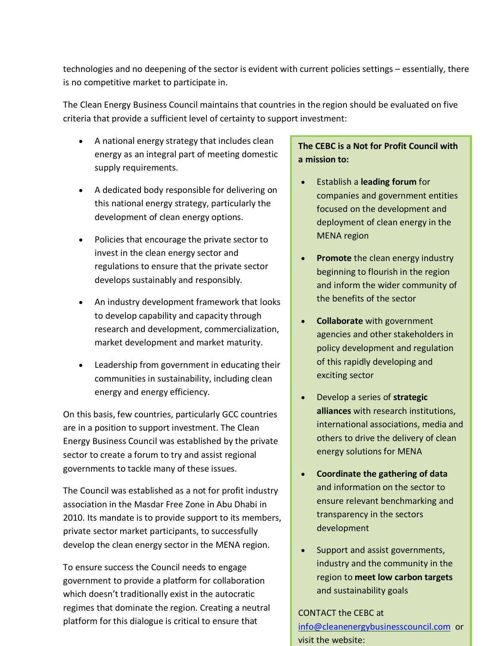technologies and no deepening of the sector is evident with current policies settings – essentially, there is no competitive market to participate in.

The Clean Energy Business Council maintains that countries in the region should be evaluated on five criteria that provide a sufficient level of certainty to support investment:

- A national energy strategy that includes clean energy as an integral part of meeting domestic supply requirements.
- A dedicated body responsible for delivering on this national energy strategy, particularly the development of clean energy options.
- Policies that encourage the private sector to invest in the clean energy sector and regulations to ensure that the private sector develops sustainably and responsibly.
- An industry development framework that looks to develop capability and capacity through research and development, commercialization, market development and market maturity.
- Leadership from government in educating their communities in sustainability, including clean energy and energy efficiency.

On this basis, few countries, particularly GCC countries are in a position to support investment. The Clean Energy Business Council was established by the private sector to create a forum to try and assist regional governments to tackle many of these issues.

The Council was established as a not for profit industry association in the Masdar Free Zone in Abu Dhabi in 2010. Its mandate is to provide support to its members, private sector market participants, to successfully develop the clean energy sector in the MENA region.

To ensure success the Council needs to engage government to provide a platform for collaboration which doesn't traditionally exist in the autocratic regimes that dominate the region. Creating a neutral platform for this dialogue is critical to ensure that

# **The CEBC is a Not for Profit Council with a mission to:**

- Establish a **leading forum** for companies and government entities focused on the development and deployment of clean energy in the MENA region
- **Promote** the clean energy industry beginning to flourish in the region and inform the wider community of the benefits of the sector
- **Collaborate** with government agencies and other stakeholders in policy development and regulation of this rapidly developing and exciting sector
- Develop a series of **strategic alliances** with research institutions, international associations, media and others to drive the delivery of clean energy solutions for MENA
- **Coordinate the gathering of data**  and information on the sector to ensure relevant benchmarking and transparency in the sectors development
- Support and assist governments, industry and the community in the region to **meet low carbon targets**  [and sustainability goals](mailto:info@cleanenergybusinesscouncil.com)

## [CONTACT the CEBC at](http://www.cleanenergybusinesscouncil.com/)

info@cleanenergybusinesscouncil.com or visit the website: